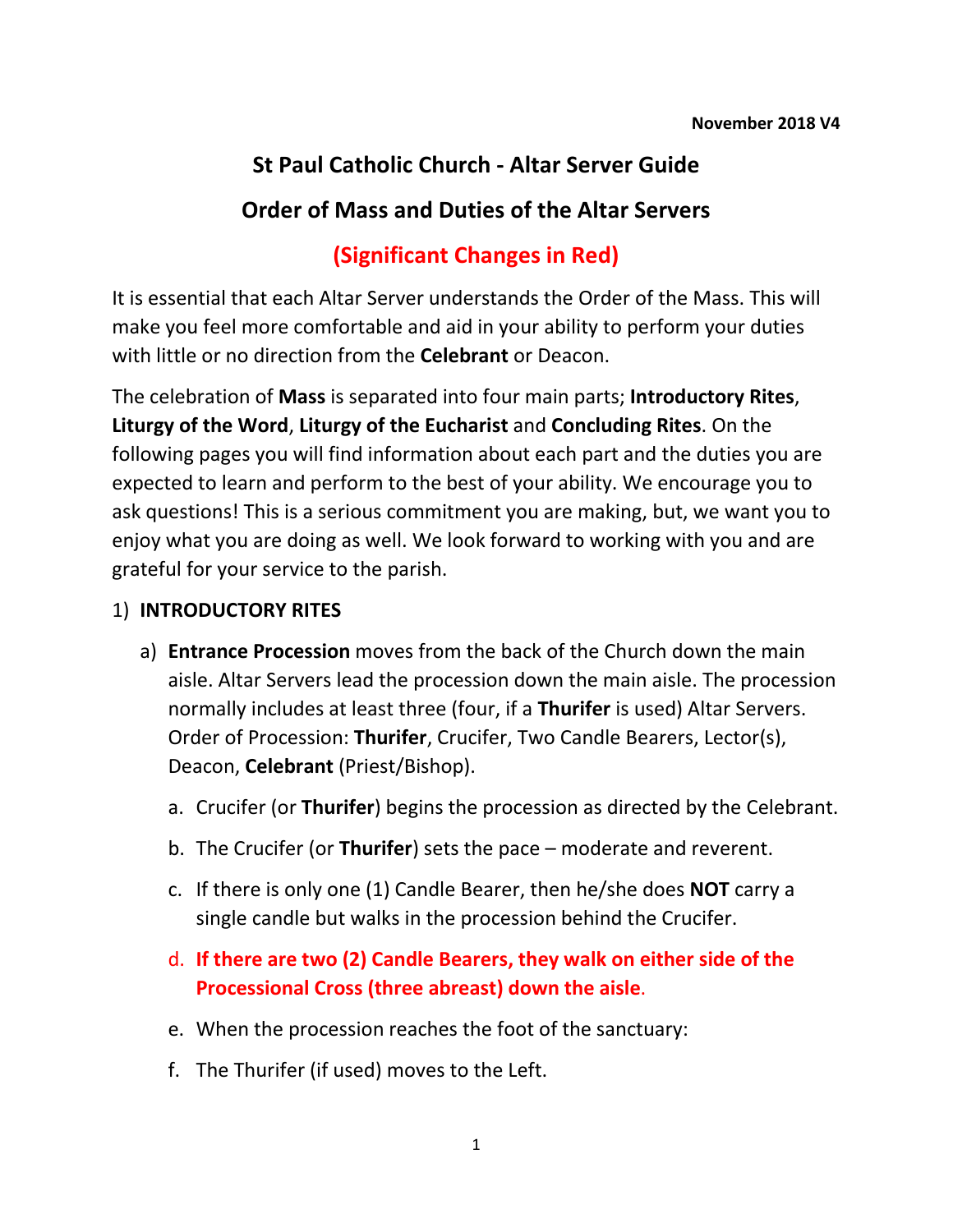# **St Paul Catholic Church - Altar Server Guide**

# **Order of Mass and Duties of the Altar Servers**

# **(Significant Changes in Red)**

It is essential that each Altar Server understands the Order of the Mass. This will make you feel more comfortable and aid in your ability to perform your duties with little or no direction from the **Celebrant** or Deacon.

The celebration of **Mass** is separated into four main parts; **Introductory Rites**, **Liturgy of the Word**, **Liturgy of the Eucharist** and **Concluding Rites**. On the following pages you will find information about each part and the duties you are expected to learn and perform to the best of your ability. We encourage you to ask questions! This is a serious commitment you are making, but, we want you to enjoy what you are doing as well. We look forward to working with you and are grateful for your service to the parish.

### 1) **INTRODUCTORY RITES**

- a) **Entrance Procession** moves from the back of the Church down the main aisle. Altar Servers lead the procession down the main aisle. The procession normally includes at least three (four, if a **Thurifer** is used) Altar Servers. Order of Procession: **Thurifer**, Crucifer, Two Candle Bearers, Lector(s), Deacon, **Celebrant** (Priest/Bishop).
	- a. Crucifer (or **Thurifer**) begins the procession as directed by the Celebrant.
	- b. The Crucifer (or **Thurifer**) sets the pace moderate and reverent.
	- c. If there is only one (1) Candle Bearer, then he/she does **NOT** carry a single candle but walks in the procession behind the Crucifer.
	- d. **If there are two (2) Candle Bearers, they walk on either side of the Processional Cross (three abreast) down the aisle**.
	- e. When the procession reaches the foot of the sanctuary:
	- f. The Thurifer (if used) moves to the Left.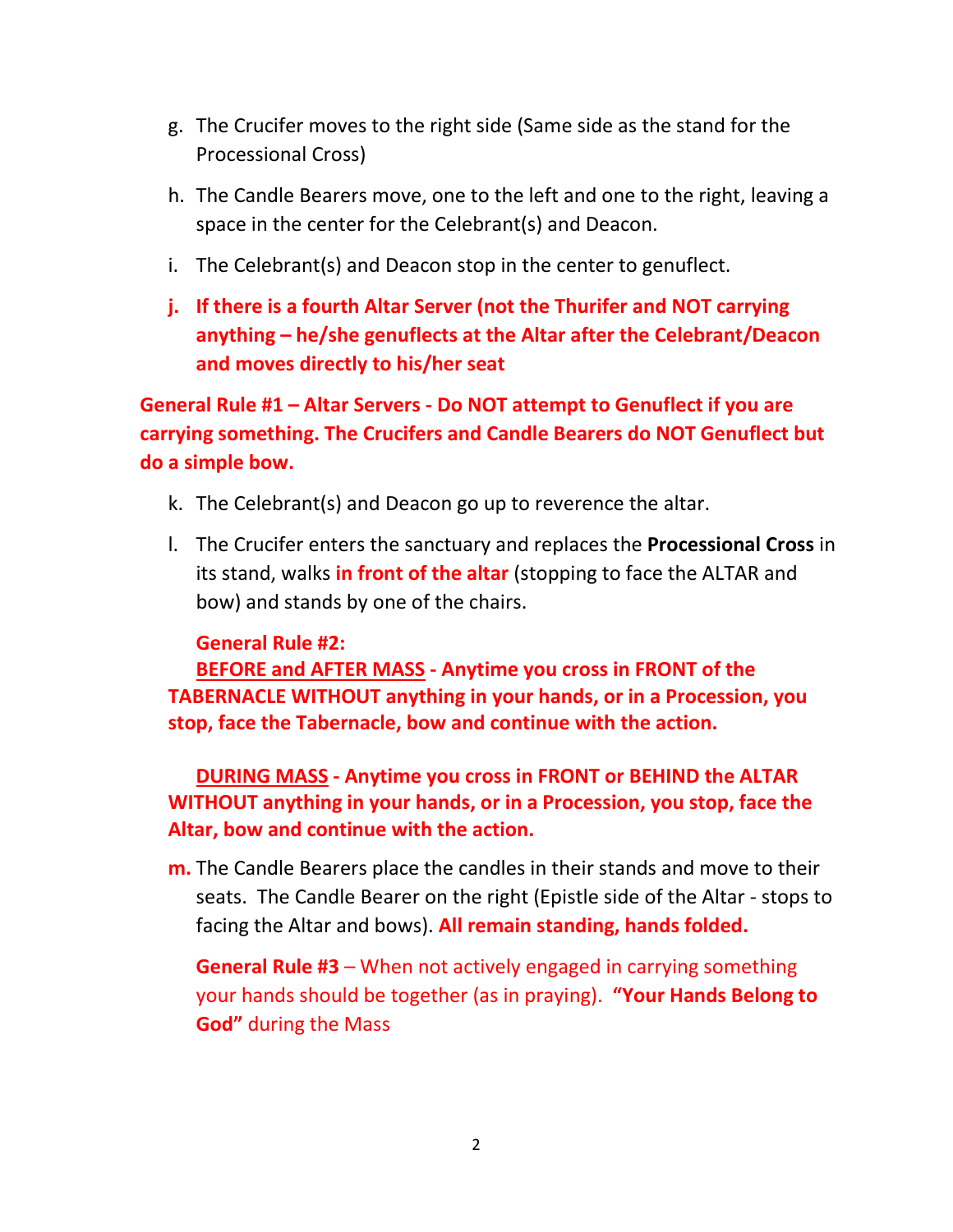- g. The Crucifer moves to the right side (Same side as the stand for the Processional Cross)
- h. The Candle Bearers move, one to the left and one to the right, leaving a space in the center for the Celebrant(s) and Deacon.
- i. The Celebrant(s) and Deacon stop in the center to genuflect.
- **j. If there is a fourth Altar Server (not the Thurifer and NOT carrying anything – he/she genuflects at the Altar after the Celebrant/Deacon and moves directly to his/her seat**

**General Rule #1 – Altar Servers - Do NOT attempt to Genuflect if you are carrying something. The Crucifers and Candle Bearers do NOT Genuflect but do a simple bow.** 

- k. The Celebrant(s) and Deacon go up to reverence the altar.
- l. The Crucifer enters the sanctuary and replaces the **Processional Cross** in its stand, walks **in front of the altar** (stopping to face the ALTAR and bow) and stands by one of the chairs.

#### **General Rule #2:**

**BEFORE and AFTER MASS - Anytime you cross in FRONT of the TABERNACLE WITHOUT anything in your hands, or in a Procession, you stop, face the Tabernacle, bow and continue with the action.** 

**DURING MASS - Anytime you cross in FRONT or BEHIND the ALTAR WITHOUT anything in your hands, or in a Procession, you stop, face the Altar, bow and continue with the action.** 

**m.** The Candle Bearers place the candles in their stands and move to their seats. The Candle Bearer on the right (Epistle side of the Altar - stops to facing the Altar and bows). **All remain standing, hands folded.**

**General Rule #3** – When not actively engaged in carrying something your hands should be together (as in praying). **"Your Hands Belong to God"** during the Mass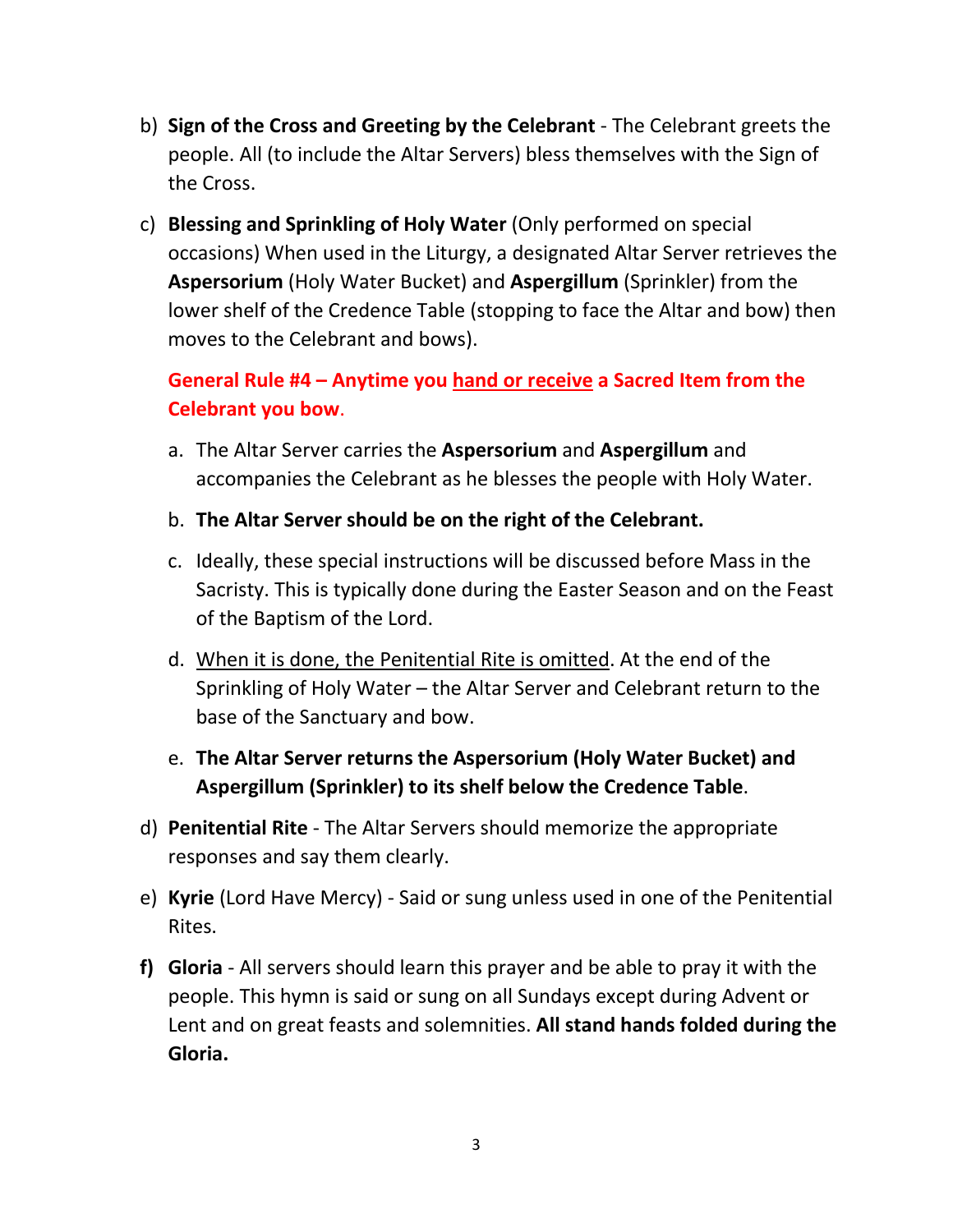- b) **Sign of the Cross and Greeting by the Celebrant** The Celebrant greets the people. All (to include the Altar Servers) bless themselves with the Sign of the Cross.
- c) **Blessing and Sprinkling of Holy Water** (Only performed on special occasions) When used in the Liturgy, a designated Altar Server retrieves the **Aspersorium** (Holy Water Bucket) and **Aspergillum** (Sprinkler) from the lower shelf of the Credence Table (stopping to face the Altar and bow) then moves to the Celebrant and bows).

# **General Rule #4 – Anytime you hand or receive a Sacred Item from the Celebrant you bow**.

- a. The Altar Server carries the **Aspersorium** and **Aspergillum** and accompanies the Celebrant as he blesses the people with Holy Water.
- b. **The Altar Server should be on the right of the Celebrant.**
- c. Ideally, these special instructions will be discussed before Mass in the Sacristy. This is typically done during the Easter Season and on the Feast of the Baptism of the Lord.
- d. When it is done, the Penitential Rite is omitted. At the end of the Sprinkling of Holy Water – the Altar Server and Celebrant return to the base of the Sanctuary and bow.

### e. **The Altar Server returns the Aspersorium (Holy Water Bucket) and Aspergillum (Sprinkler) to its shelf below the Credence Table**.

- d) **Penitential Rite** The Altar Servers should memorize the appropriate responses and say them clearly.
- e) **Kyrie** (Lord Have Mercy) Said or sung unless used in one of the Penitential Rites.
- **f) Gloria** All servers should learn this prayer and be able to pray it with the people. This hymn is said or sung on all Sundays except during Advent or Lent and on great feasts and solemnities. **All stand hands folded during the Gloria.**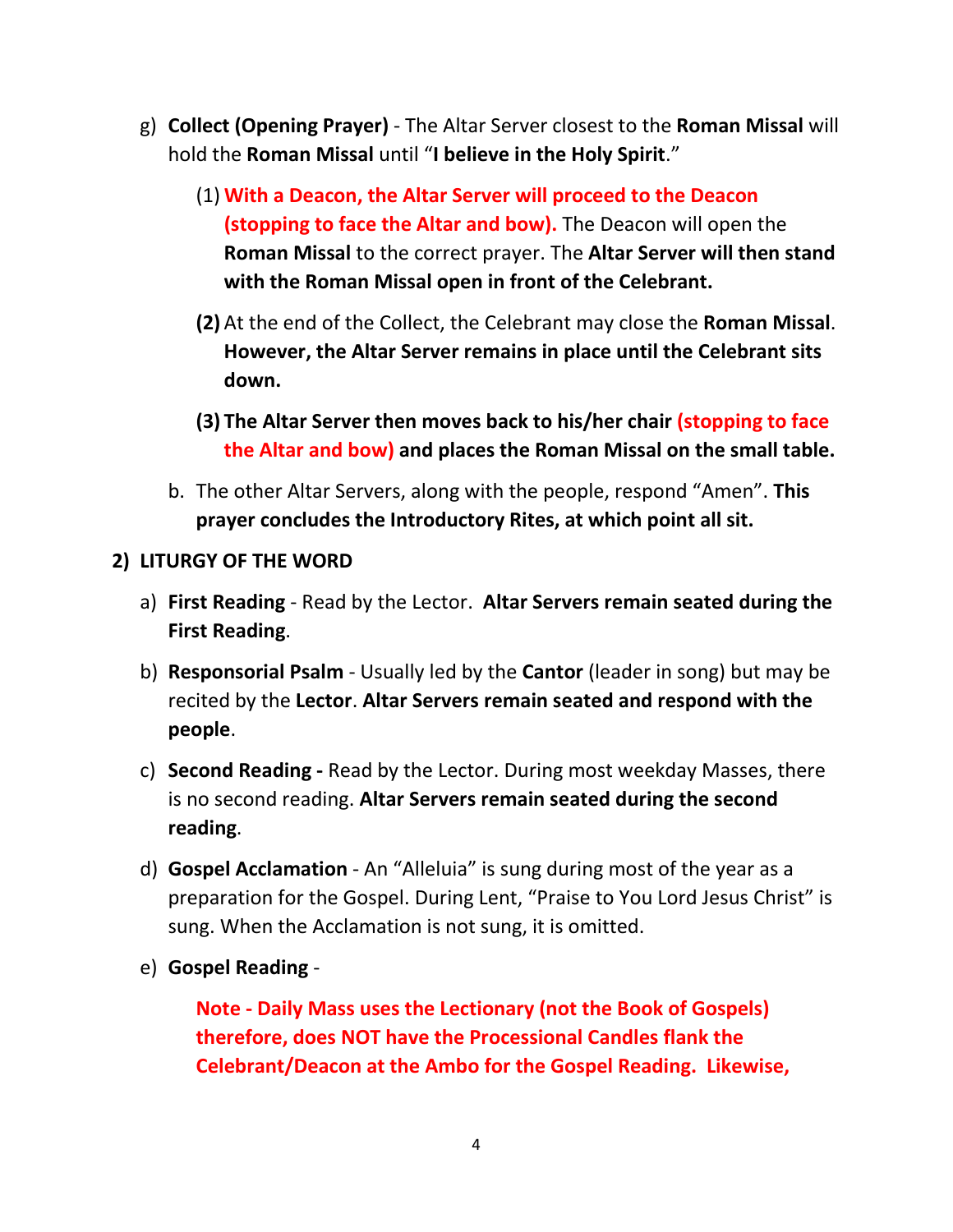- g) **Collect (Opening Prayer)** The Altar Server closest to the **Roman Missal** will hold the **Roman Missal** until "**I believe in the Holy Spirit**."
	- (1) **With a Deacon, the Altar Server will proceed to the Deacon (stopping to face the Altar and bow).** The Deacon will open the **Roman Missal** to the correct prayer. The **Altar Server will then stand with the Roman Missal open in front of the Celebrant.**
	- **(2)** At the end of the Collect, the Celebrant may close the **Roman Missal**. **However, the Altar Server remains in place until the Celebrant sits down.**
	- **(3) The Altar Server then moves back to his/her chair (stopping to face the Altar and bow) and places the Roman Missal on the small table.**
	- b. The other Altar Servers, along with the people, respond "Amen". **This prayer concludes the Introductory Rites, at which point all sit.**
- **2) LITURGY OF THE WORD**
	- a) **First Reading** Read by the Lector. **Altar Servers remain seated during the First Reading**.
	- b) **Responsorial Psalm** Usually led by the **Cantor** (leader in song) but may be recited by the **Lector**. **Altar Servers remain seated and respond with the people**.
	- c) **Second Reading -** Read by the Lector. During most weekday Masses, there is no second reading. **Altar Servers remain seated during the second reading**.
	- d) **Gospel Acclamation** An "Alleluia" is sung during most of the year as a preparation for the Gospel. During Lent, "Praise to You Lord Jesus Christ" is sung. When the Acclamation is not sung, it is omitted.
	- e) **Gospel Reading** -

**Note - Daily Mass uses the Lectionary (not the Book of Gospels) therefore, does NOT have the Processional Candles flank the Celebrant/Deacon at the Ambo for the Gospel Reading. Likewise,**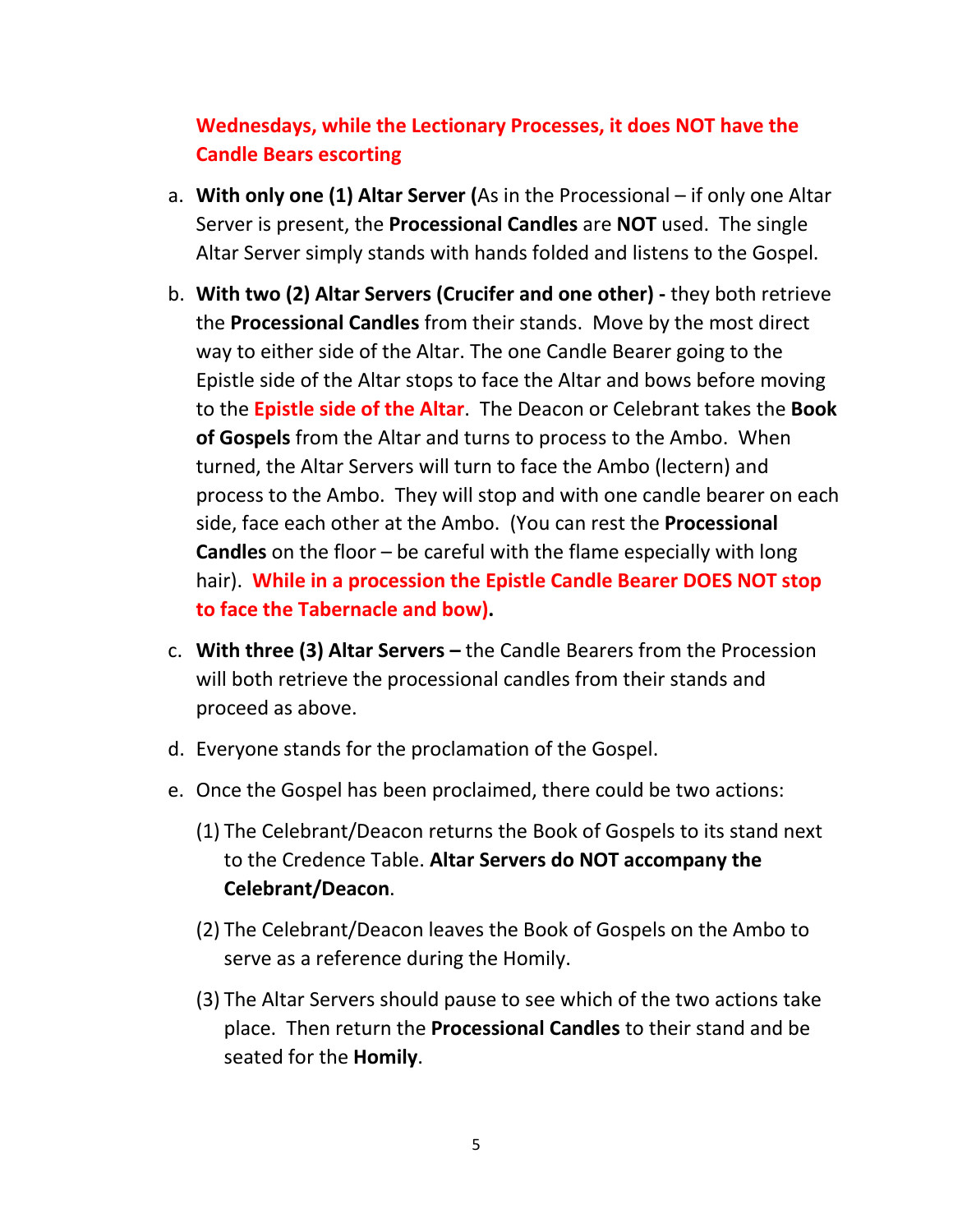# **Wednesdays, while the Lectionary Processes, it does NOT have the Candle Bears escorting**

- a. **With only one (1) Altar Server (**As in the Processional if only one Altar Server is present, the **Processional Candles** are **NOT** used. The single Altar Server simply stands with hands folded and listens to the Gospel.
- b. **With two (2) Altar Servers (Crucifer and one other) -** they both retrieve the **Processional Candles** from their stands. Move by the most direct way to either side of the Altar. The one Candle Bearer going to the Epistle side of the Altar stops to face the Altar and bows before moving to the **Epistle side of the Altar**. The Deacon or Celebrant takes the **Book of Gospels** from the Altar and turns to process to the Ambo. When turned, the Altar Servers will turn to face the Ambo (lectern) and process to the Ambo. They will stop and with one candle bearer on each side, face each other at the Ambo. (You can rest the **Processional Candles** on the floor – be careful with the flame especially with long hair). **While in a procession the Epistle Candle Bearer DOES NOT stop to face the Tabernacle and bow).**
- c. **With three (3) Altar Servers –** the Candle Bearers from the Procession will both retrieve the processional candles from their stands and proceed as above.
- d. Everyone stands for the proclamation of the Gospel.
- e. Once the Gospel has been proclaimed, there could be two actions:
	- (1) The Celebrant/Deacon returns the Book of Gospels to its stand next to the Credence Table. **Altar Servers do NOT accompany the Celebrant/Deacon**.
	- (2) The Celebrant/Deacon leaves the Book of Gospels on the Ambo to serve as a reference during the Homily.
	- (3) The Altar Servers should pause to see which of the two actions take place. Then return the **Processional Candles** to their stand and be seated for the **Homily**.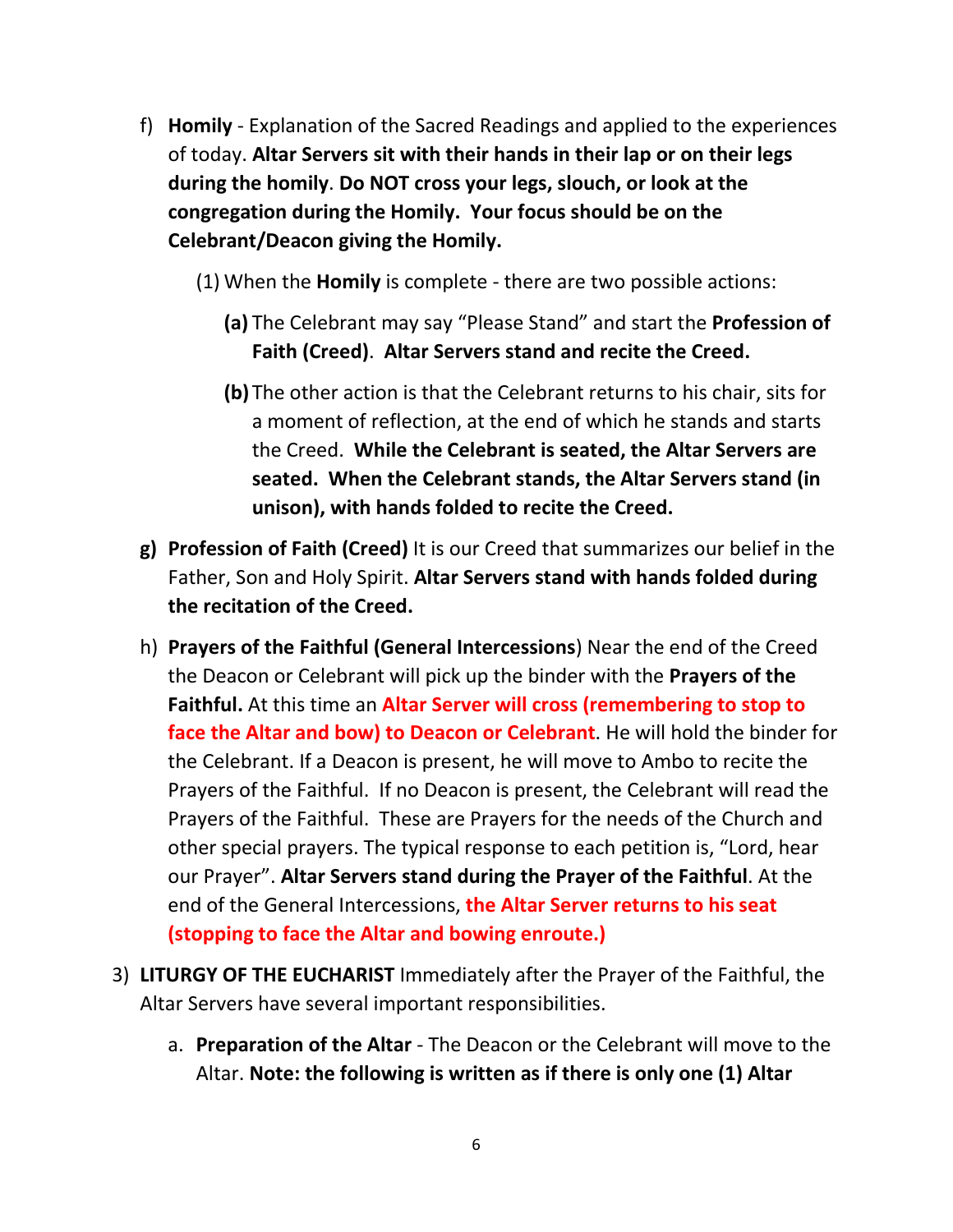- f) **Homily** Explanation of the Sacred Readings and applied to the experiences of today. **Altar Servers sit with their hands in their lap or on their legs during the homily**. **Do NOT cross your legs, slouch, or look at the congregation during the Homily. Your focus should be on the Celebrant/Deacon giving the Homily.** 
	- (1) When the **Homily** is complete there are two possible actions:
		- **(a)** The Celebrant may say "Please Stand" and start the **Profession of Faith (Creed)**. **Altar Servers stand and recite the Creed.**
		- **(b)** The other action is that the Celebrant returns to his chair, sits for a moment of reflection, at the end of which he stands and starts the Creed. **While the Celebrant is seated, the Altar Servers are seated. When the Celebrant stands, the Altar Servers stand (in unison), with hands folded to recite the Creed.**
- **g) Profession of Faith (Creed)** It is our Creed that summarizes our belief in the Father, Son and Holy Spirit. **Altar Servers stand with hands folded during the recitation of the Creed.**
- h) **Prayers of the Faithful (General Intercessions**) Near the end of the Creed the Deacon or Celebrant will pick up the binder with the **Prayers of the Faithful.** At this time an **Altar Server will cross (remembering to stop to face the Altar and bow) to Deacon or Celebrant**. He will hold the binder for the Celebrant. If a Deacon is present, he will move to Ambo to recite the Prayers of the Faithful. If no Deacon is present, the Celebrant will read the Prayers of the Faithful. These are Prayers for the needs of the Church and other special prayers. The typical response to each petition is, "Lord, hear our Prayer". **Altar Servers stand during the Prayer of the Faithful**. At the end of the General Intercessions, **the Altar Server returns to his seat (stopping to face the Altar and bowing enroute.)**
- 3) **LITURGY OF THE EUCHARIST** Immediately after the Prayer of the Faithful, the Altar Servers have several important responsibilities.
	- a. **Preparation of the Altar** The Deacon or the Celebrant will move to the Altar. **Note: the following is written as if there is only one (1) Altar**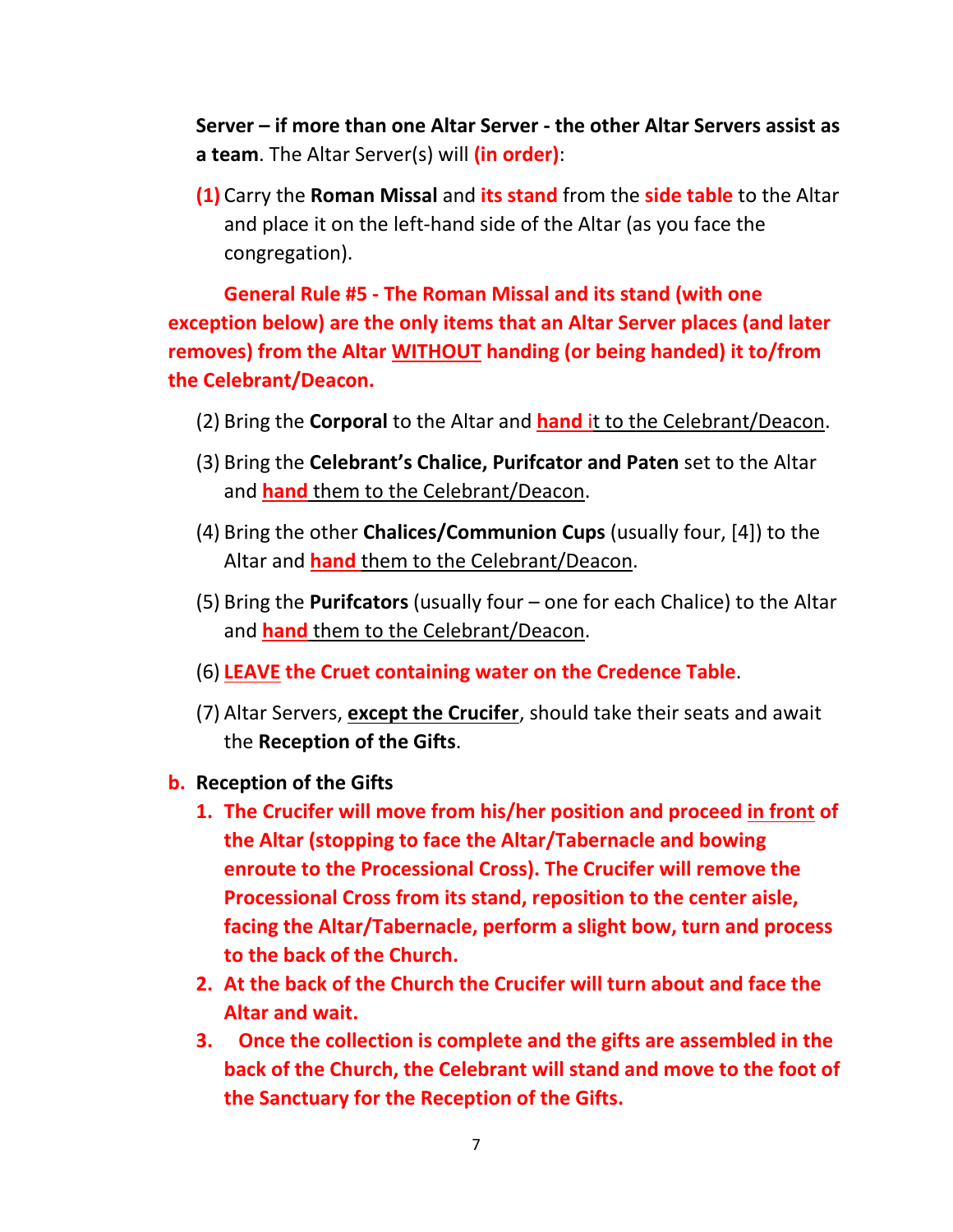**Server – if more than one Altar Server - the other Altar Servers assist as a team**. The Altar Server(s) will **(in order)**:

**(1)** Carry the **Roman Missal** and **its stand** from the **side table** to the Altar and place it on the left-hand side of the Altar (as you face the congregation).

**General Rule #5 - The Roman Missal and its stand (with one exception below) are the only items that an Altar Server places (and later removes) from the Altar WITHOUT handing (or being handed) it to/from the Celebrant/Deacon.** 

- (2) Bring the **Corporal** to the Altar and **hand** it to the Celebrant/Deacon.
- (3) Bring the **Celebrant's Chalice, Purifcator and Paten** set to the Altar and **hand** them to the Celebrant/Deacon.
- (4) Bring the other **Chalices/Communion Cups** (usually four, [4]) to the Altar and **hand** them to the Celebrant/Deacon.
- (5) Bring the **Purifcators** (usually four one for each Chalice) to the Altar and **hand** them to the Celebrant/Deacon.
- (6) **LEAVE the Cruet containing water on the Credence Table**.
- (7) Altar Servers, **except the Crucifer**, should take their seats and await the **Reception of the Gifts**.
- **b. Reception of the Gifts**
	- **1. The Crucifer will move from his/her position and proceed in front of the Altar (stopping to face the Altar/Tabernacle and bowing enroute to the Processional Cross). The Crucifer will remove the Processional Cross from its stand, reposition to the center aisle, facing the Altar/Tabernacle, perform a slight bow, turn and process to the back of the Church.**
	- **2. At the back of the Church the Crucifer will turn about and face the Altar and wait.**
	- **3. Once the collection is complete and the gifts are assembled in the back of the Church, the Celebrant will stand and move to the foot of the Sanctuary for the Reception of the Gifts.**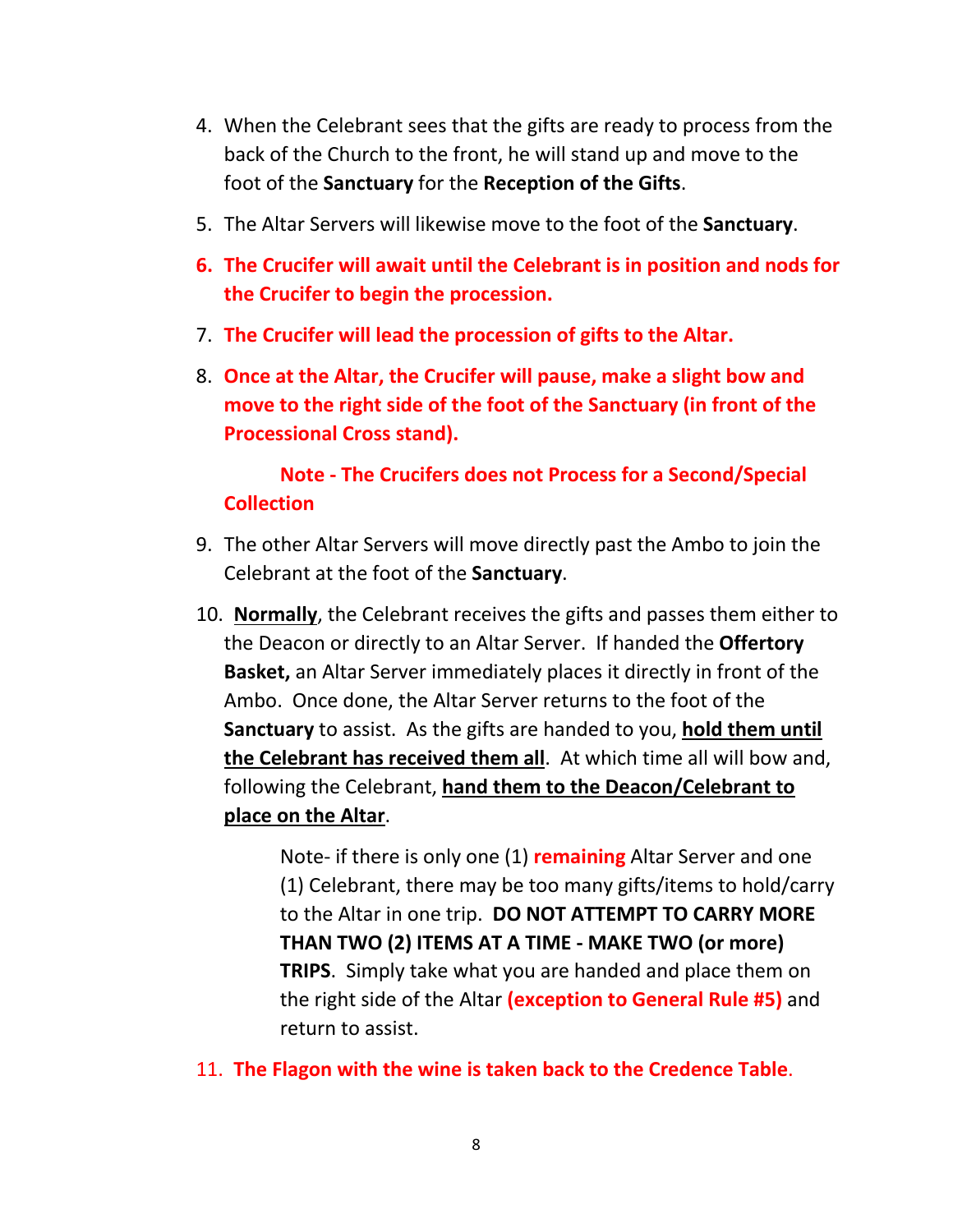- 4. When the Celebrant sees that the gifts are ready to process from the back of the Church to the front, he will stand up and move to the foot of the **Sanctuary** for the **Reception of the Gifts**.
- 5. The Altar Servers will likewise move to the foot of the **Sanctuary**.
- **6. The Crucifer will await until the Celebrant is in position and nods for the Crucifer to begin the procession.**
- 7. **The Crucifer will lead the procession of gifts to the Altar.**
- 8. **Once at the Altar, the Crucifer will pause, make a slight bow and move to the right side of the foot of the Sanctuary (in front of the Processional Cross stand).**

# **Note - The Crucifers does not Process for a Second/Special Collection**

- 9. The other Altar Servers will move directly past the Ambo to join the Celebrant at the foot of the **Sanctuary**.
- 10. **Normally**, the Celebrant receives the gifts and passes them either to the Deacon or directly to an Altar Server. If handed the **Offertory Basket,** an Altar Server immediately places it directly in front of the Ambo. Once done, the Altar Server returns to the foot of the **Sanctuary** to assist. As the gifts are handed to you, **hold them until the Celebrant has received them all**. At which time all will bow and, following the Celebrant, **hand them to the Deacon/Celebrant to place on the Altar**.

Note- if there is only one (1) **remaining** Altar Server and one (1) Celebrant, there may be too many gifts/items to hold/carry to the Altar in one trip. **DO NOT ATTEMPT TO CARRY MORE THAN TWO (2) ITEMS AT A TIME - MAKE TWO (or more) TRIPS**. Simply take what you are handed and place them on the right side of the Altar **(exception to General Rule #5)** and return to assist.

11. **The Flagon with the wine is taken back to the Credence Table**.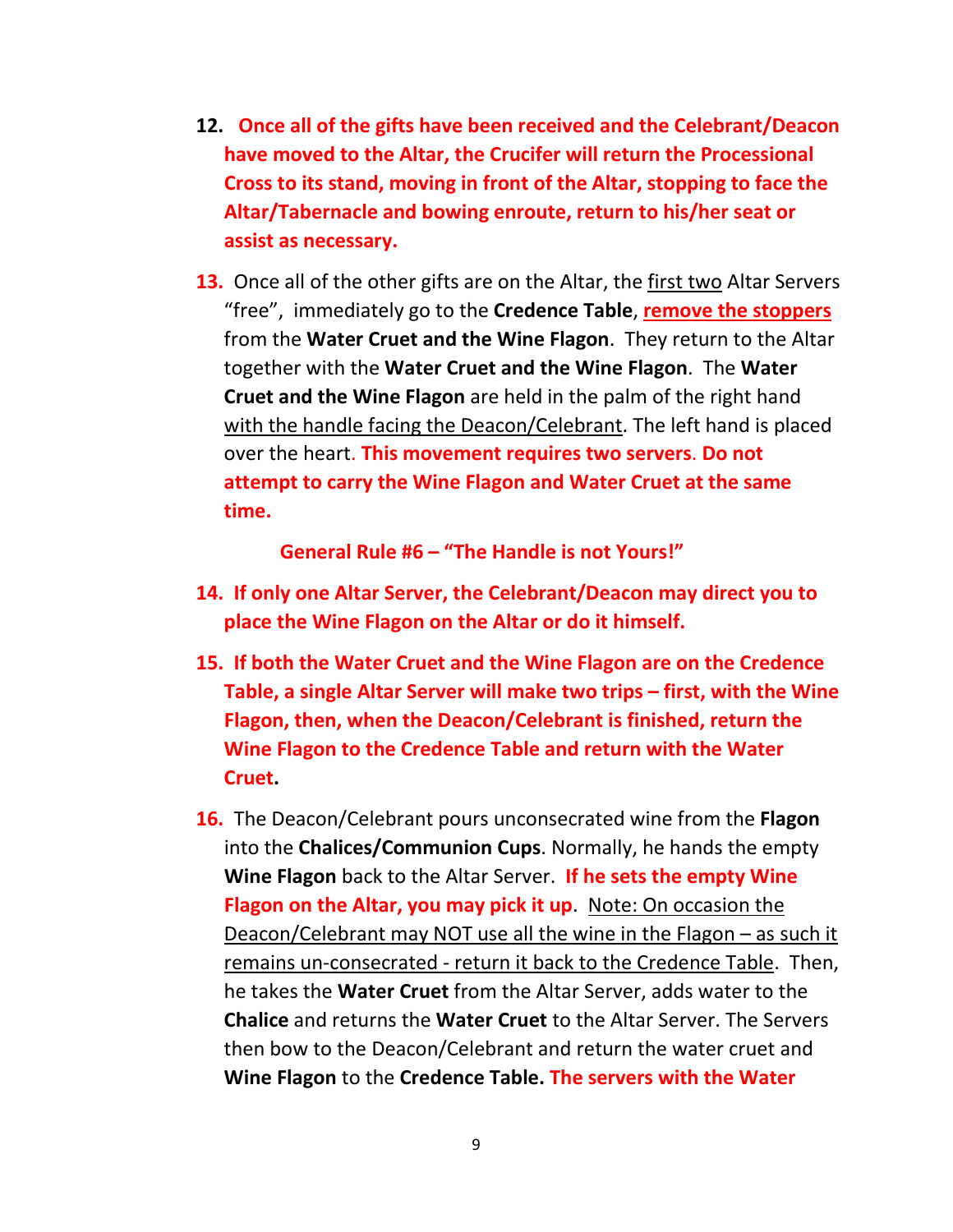- **12. Once all of the gifts have been received and the Celebrant/Deacon have moved to the Altar, the Crucifer will return the Processional Cross to its stand, moving in front of the Altar, stopping to face the Altar/Tabernacle and bowing enroute, return to his/her seat or assist as necessary.**
- **13.** Once all of the other gifts are on the Altar, the first two Altar Servers "free", immediately go to the **Credence Table**, **remove the stoppers** from the **Water Cruet and the Wine Flagon**. They return to the Altar together with the **Water Cruet and the Wine Flagon**. The **Water Cruet and the Wine Flagon** are held in the palm of the right hand with the handle facing the Deacon/Celebrant. The left hand is placed over the heart. **This movement requires two servers**. **Do not attempt to carry the Wine Flagon and Water Cruet at the same time.**

**General Rule #6 – "The Handle is not Yours!"** 

- **14. If only one Altar Server, the Celebrant/Deacon may direct you to place the Wine Flagon on the Altar or do it himself.**
- **15. If both the Water Cruet and the Wine Flagon are on the Credence Table, a single Altar Server will make two trips – first, with the Wine Flagon, then, when the Deacon/Celebrant is finished, return the Wine Flagon to the Credence Table and return with the Water Cruet.**
- **16.** The Deacon/Celebrant pours unconsecrated wine from the **Flagon** into the **Chalices/Communion Cups**. Normally, he hands the empty **Wine Flagon** back to the Altar Server. **If he sets the empty Wine Flagon on the Altar, you may pick it up**. Note: On occasion the Deacon/Celebrant may NOT use all the wine in the Flagon – as such it remains un-consecrated - return it back to the Credence Table. Then, he takes the **Water Cruet** from the Altar Server, adds water to the **Chalice** and returns the **Water Cruet** to the Altar Server. The Servers then bow to the Deacon/Celebrant and return the water cruet and **Wine Flagon** to the **Credence Table. The servers with the Water**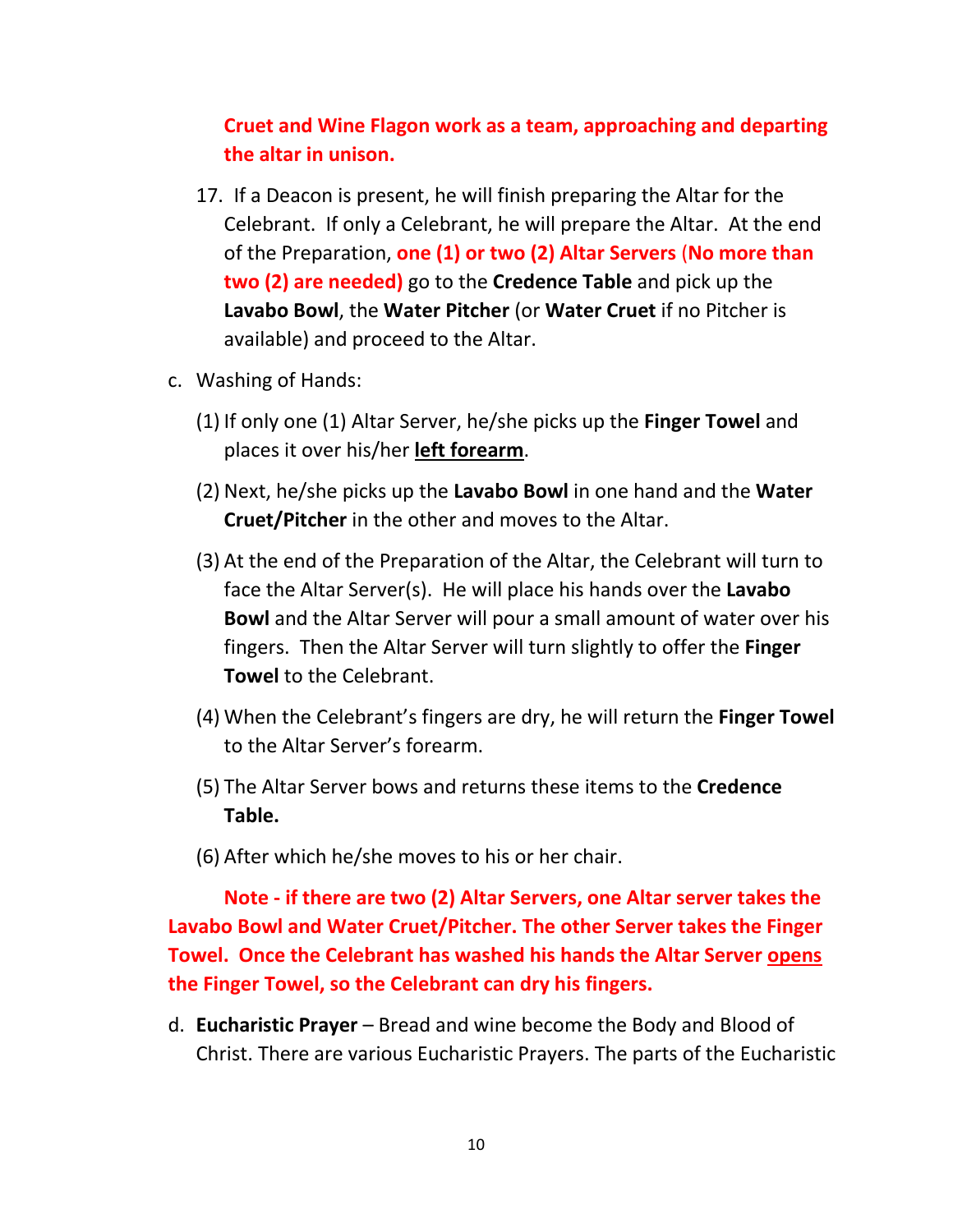# **Cruet and Wine Flagon work as a team, approaching and departing the altar in unison.**

- 17. If a Deacon is present, he will finish preparing the Altar for the Celebrant. If only a Celebrant, he will prepare the Altar. At the end of the Preparation, **one (1) or two (2) Altar Servers** (**No more than two (2) are needed)** go to the **Credence Table** and pick up the **Lavabo Bowl**, the **Water Pitcher** (or **Water Cruet** if no Pitcher is available) and proceed to the Altar.
- c. Washing of Hands:
	- (1) If only one (1) Altar Server, he/she picks up the **Finger Towel** and places it over his/her **left forearm**.
	- (2) Next, he/she picks up the **Lavabo Bowl** in one hand and the **Water Cruet/Pitcher** in the other and moves to the Altar.
	- (3) At the end of the Preparation of the Altar, the Celebrant will turn to face the Altar Server(s). He will place his hands over the **Lavabo Bowl** and the Altar Server will pour a small amount of water over his fingers. Then the Altar Server will turn slightly to offer the **Finger Towel** to the Celebrant.
	- (4) When the Celebrant's fingers are dry, he will return the **Finger Towel** to the Altar Server's forearm.
	- (5) The Altar Server bows and returns these items to the **Credence Table.**
	- (6) After which he/she moves to his or her chair.

**Note - if there are two (2) Altar Servers, one Altar server takes the Lavabo Bowl and Water Cruet/Pitcher. The other Server takes the Finger Towel. Once the Celebrant has washed his hands the Altar Server opens the Finger Towel, so the Celebrant can dry his fingers.** 

d. **Eucharistic Prayer** – Bread and wine become the Body and Blood of Christ. There are various Eucharistic Prayers. The parts of the Eucharistic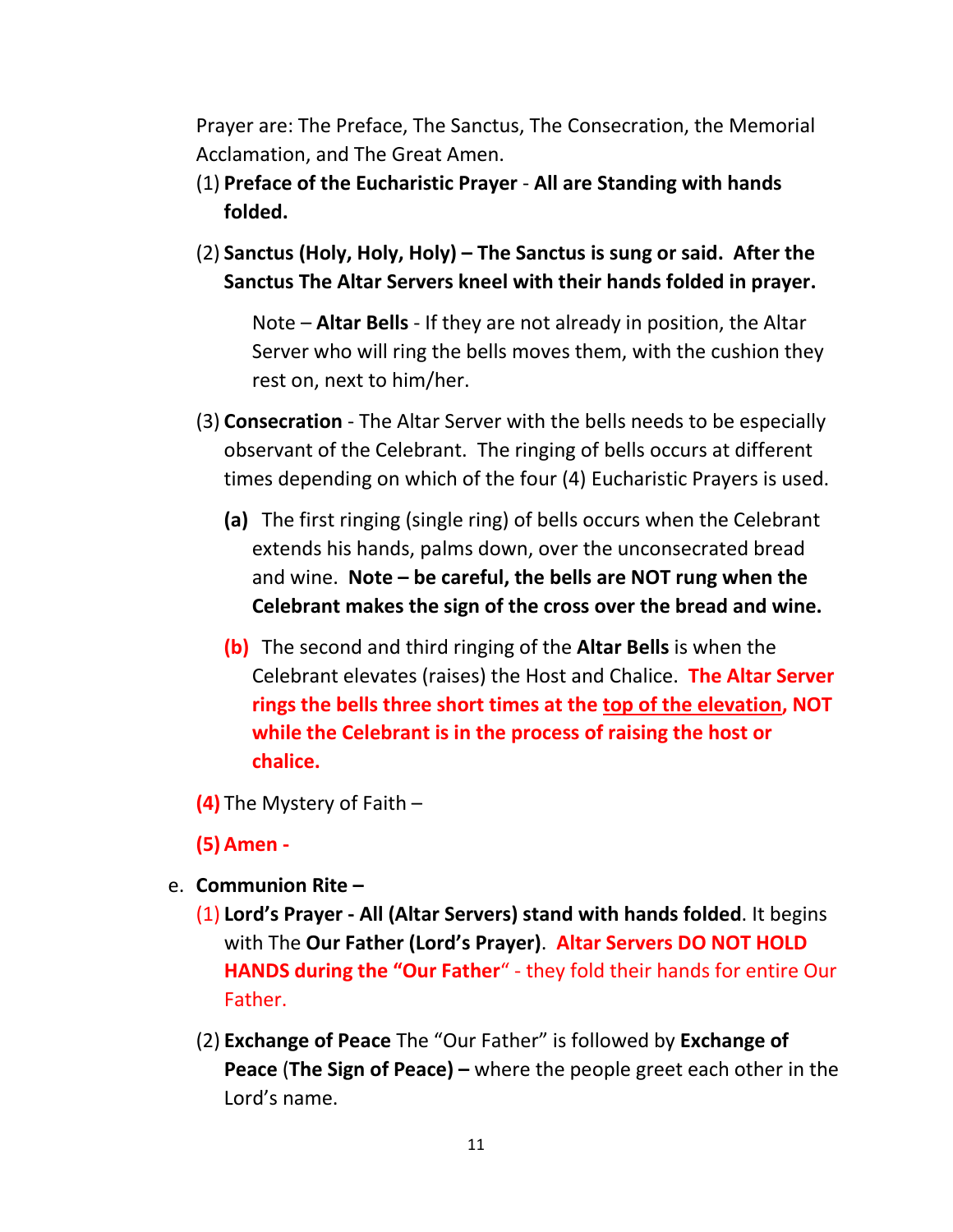Prayer are: The Preface, The Sanctus, The Consecration, the Memorial Acclamation, and The Great Amen.

- (1) **Preface of the Eucharistic Prayer All are Standing with hands folded.**
- (2) **Sanctus (Holy, Holy, Holy) – The Sanctus is sung or said. After the Sanctus The Altar Servers kneel with their hands folded in prayer.**

Note – **Altar Bells** - If they are not already in position, the Altar Server who will ring the bells moves them, with the cushion they rest on, next to him/her.

- (3) **Consecration**  The Altar Server with the bells needs to be especially observant of the Celebrant. The ringing of bells occurs at different times depending on which of the four (4) Eucharistic Prayers is used.
	- **(a)** The first ringing (single ring) of bells occurs when the Celebrant extends his hands, palms down, over the unconsecrated bread and wine. **Note – be careful, the bells are NOT rung when the Celebrant makes the sign of the cross over the bread and wine.**
	- **(b)** The second and third ringing of the **Altar Bells** is when the Celebrant elevates (raises) the Host and Chalice. **The Altar Server rings the bells three short times at the top of the elevation, NOT while the Celebrant is in the process of raising the host or chalice.**
- **(4)** The Mystery of Faith –
- **(5) Amen -**
- e. **Communion Rite –**
	- (1) **Lord's Prayer - All (Altar Servers) stand with hands folded**. It begins with The **Our Father (Lord's Prayer)**. **Altar Servers DO NOT HOLD HANDS during the "Our Father**" - they fold their hands for entire Our Father.
	- (2) **Exchange of Peace** The "Our Father" is followed by **Exchange of Peace** (**The Sign of Peace) –** where the people greet each other in the Lord's name.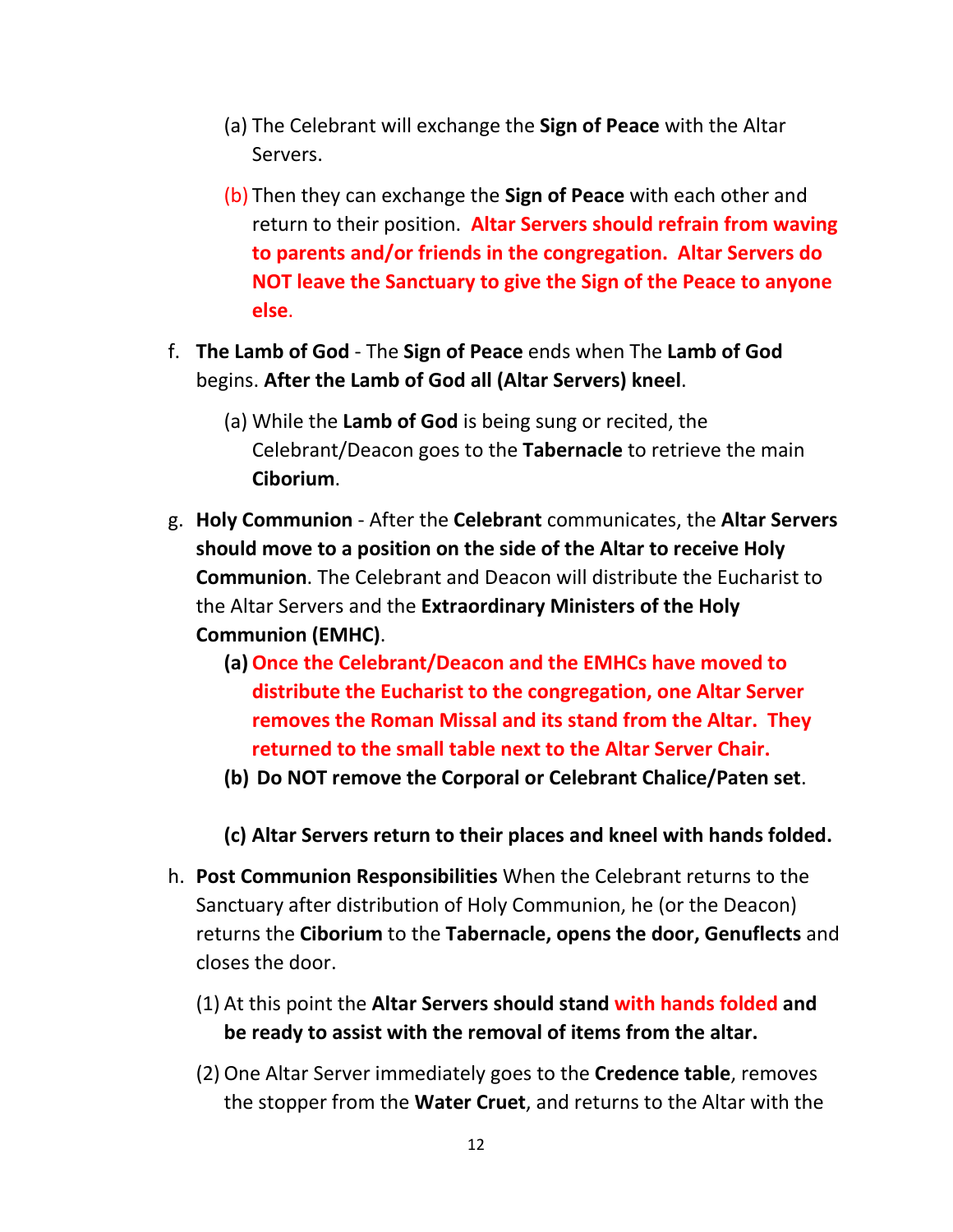- (a) The Celebrant will exchange the **Sign of Peace** with the Altar Servers.
- (b) Then they can exchange the **Sign of Peace** with each other and return to their position. **Altar Servers should refrain from waving to parents and/or friends in the congregation. Altar Servers do NOT leave the Sanctuary to give the Sign of the Peace to anyone else**.
- f. **The Lamb of God** The **Sign of Peace** ends when The **Lamb of God** begins. **After the Lamb of God all (Altar Servers) kneel**.
	- (a) While the **Lamb of God** is being sung or recited, the Celebrant/Deacon goes to the **Tabernacle** to retrieve the main **Ciborium**.
- g. **Holy Communion** After the **Celebrant** communicates, the **Altar Servers should move to a position on the side of the Altar to receive Holy Communion**. The Celebrant and Deacon will distribute the Eucharist to the Altar Servers and the **Extraordinary Ministers of the Holy Communion (EMHC)**.
	- **(a)Once the Celebrant/Deacon and the EMHCs have moved to distribute the Eucharist to the congregation, one Altar Server removes the Roman Missal and its stand from the Altar. They returned to the small table next to the Altar Server Chair.**
	- **(b) Do NOT remove the Corporal or Celebrant Chalice/Paten set**.
	- **(c) Altar Servers return to their places and kneel with hands folded.**
- h. **Post Communion Responsibilities** When the Celebrant returns to the Sanctuary after distribution of Holy Communion, he (or the Deacon) returns the **Ciborium** to the **Tabernacle, opens the door, Genuflects** and closes the door.
	- (1) At this point the **Altar Servers should stand with hands folded and be ready to assist with the removal of items from the altar.**
	- (2) One Altar Server immediately goes to the **Credence table**, removes the stopper from the **Water Cruet**, and returns to the Altar with the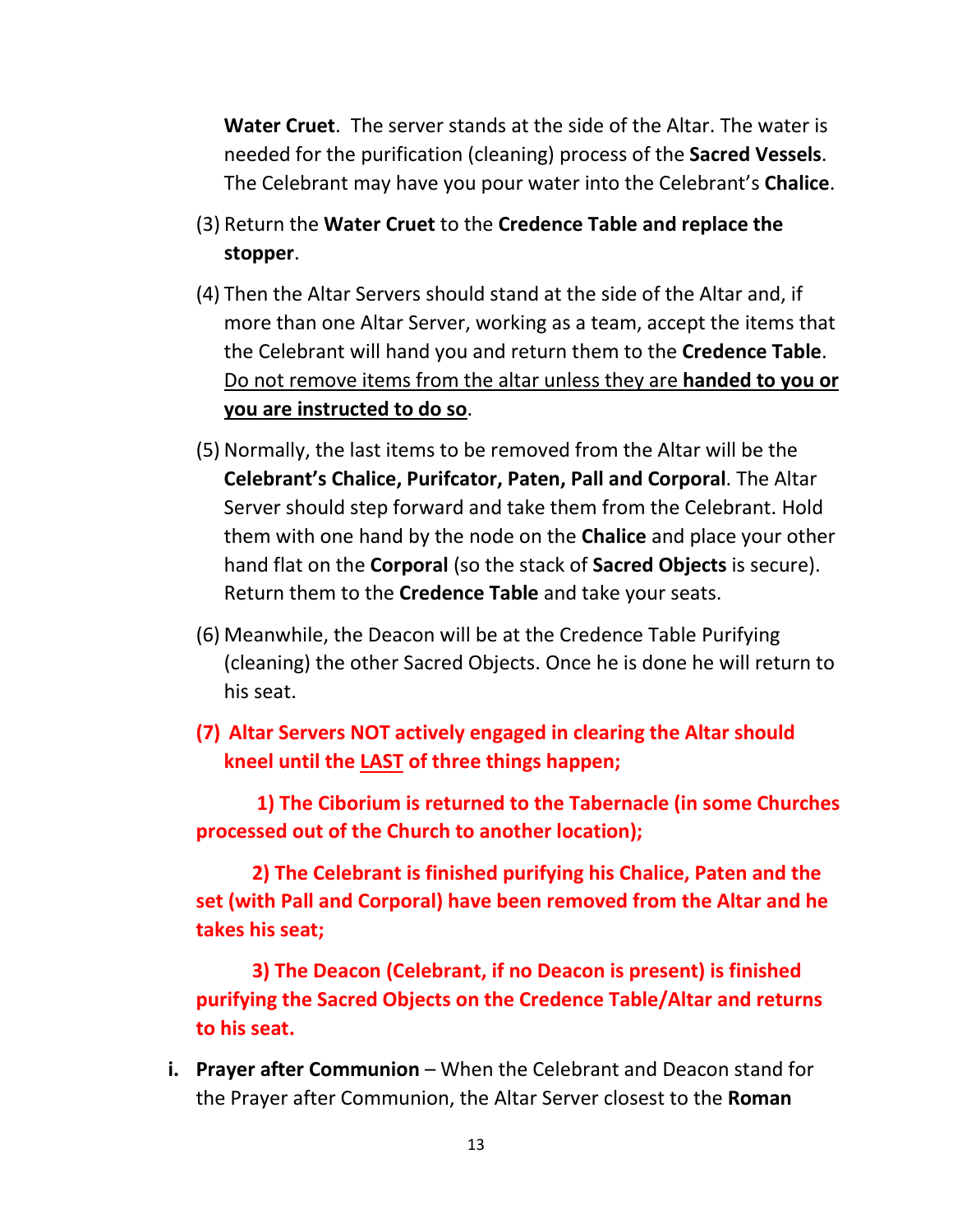**Water Cruet**. The server stands at the side of the Altar. The water is needed for the purification (cleaning) process of the **Sacred Vessels**. The Celebrant may have you pour water into the Celebrant's **Chalice**.

- (3) Return the **Water Cruet** to the **Credence Table and replace the stopper**.
- (4) Then the Altar Servers should stand at the side of the Altar and, if more than one Altar Server, working as a team, accept the items that the Celebrant will hand you and return them to the **Credence Table**. Do not remove items from the altar unless they are **handed to you or you are instructed to do so**.
- (5) Normally, the last items to be removed from the Altar will be the **Celebrant's Chalice, Purifcator, Paten, Pall and Corporal**. The Altar Server should step forward and take them from the Celebrant. Hold them with one hand by the node on the **Chalice** and place your other hand flat on the **Corporal** (so the stack of **Sacred Objects** is secure). Return them to the **Credence Table** and take your seats.
- (6) Meanwhile, the Deacon will be at the Credence Table Purifying (cleaning) the other Sacred Objects. Once he is done he will return to his seat.
- **(7) Altar Servers NOT actively engaged in clearing the Altar should kneel until the LAST of three things happen;**

**1) The Ciborium is returned to the Tabernacle (in some Churches processed out of the Church to another location);** 

**2) The Celebrant is finished purifying his Chalice, Paten and the set (with Pall and Corporal) have been removed from the Altar and he takes his seat;** 

**3) The Deacon (Celebrant, if no Deacon is present) is finished purifying the Sacred Objects on the Credence Table/Altar and returns to his seat.** 

**i. Prayer after Communion** – When the Celebrant and Deacon stand for the Prayer after Communion, the Altar Server closest to the **Roman**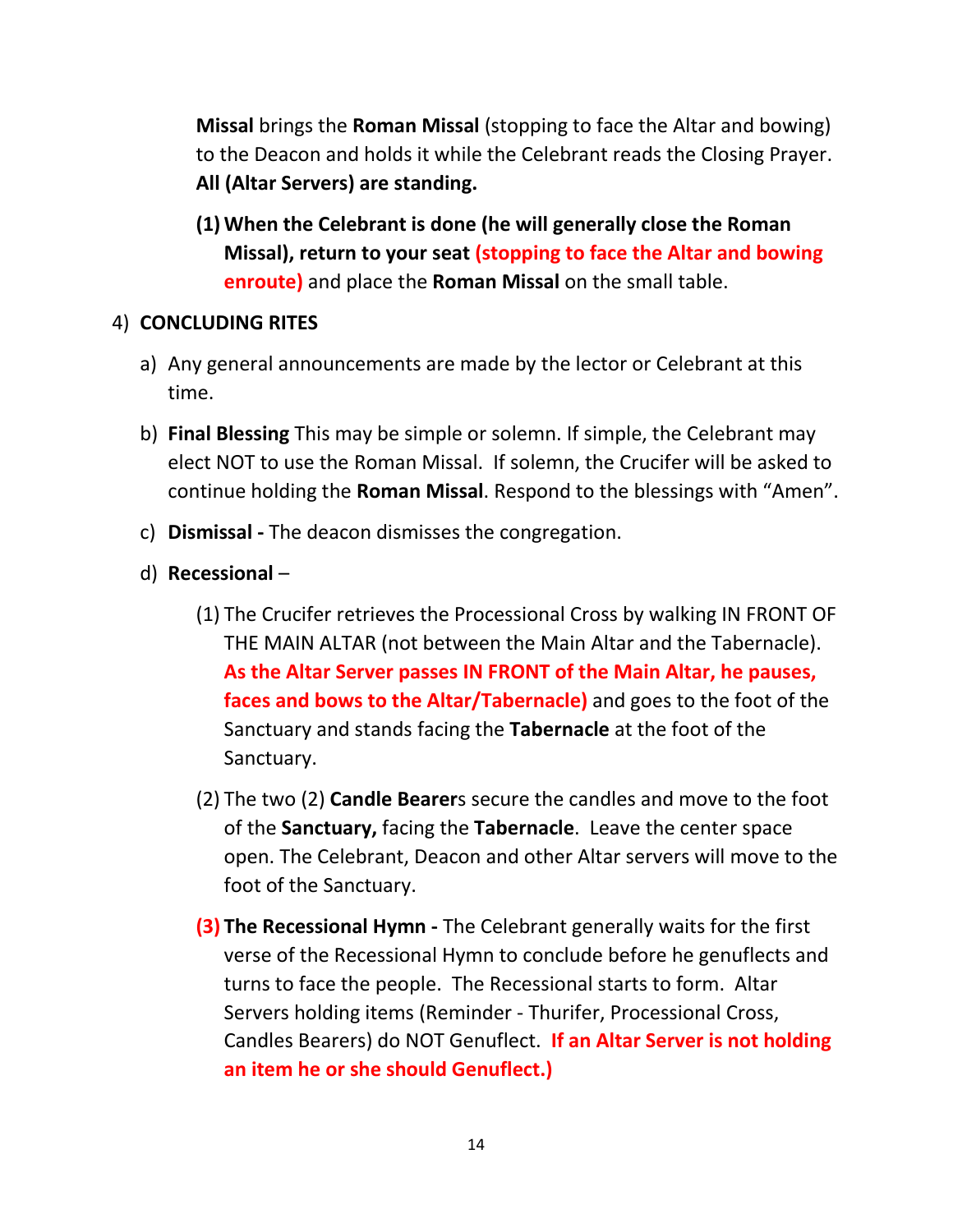**Missal** brings the **Roman Missal** (stopping to face the Altar and bowing) to the Deacon and holds it while the Celebrant reads the Closing Prayer. **All (Altar Servers) are standing.**

**(1) When the Celebrant is done (he will generally close the Roman Missal), return to your seat (stopping to face the Altar and bowing enroute)** and place the **Roman Missal** on the small table.

#### 4) **CONCLUDING RITES**

- a) Any general announcements are made by the lector or Celebrant at this time.
- b) **Final Blessing** This may be simple or solemn. If simple, the Celebrant may elect NOT to use the Roman Missal. If solemn, the Crucifer will be asked to continue holding the **Roman Missal**. Respond to the blessings with "Amen".
- c) **Dismissal -** The deacon dismisses the congregation.
- d) **Recessional**
	- (1) The Crucifer retrieves the Processional Cross by walking IN FRONT OF THE MAIN ALTAR (not between the Main Altar and the Tabernacle). **As the Altar Server passes IN FRONT of the Main Altar, he pauses, faces and bows to the Altar/Tabernacle)** and goes to the foot of the Sanctuary and stands facing the **Tabernacle** at the foot of the Sanctuary.
	- (2) The two (2) **Candle Bearer**s secure the candles and move to the foot of the **Sanctuary,** facing the **Tabernacle**. Leave the center space open. The Celebrant, Deacon and other Altar servers will move to the foot of the Sanctuary.
	- **(3) The Recessional Hymn -** The Celebrant generally waits for the first verse of the Recessional Hymn to conclude before he genuflects and turns to face the people. The Recessional starts to form. Altar Servers holding items (Reminder - Thurifer, Processional Cross, Candles Bearers) do NOT Genuflect. **If an Altar Server is not holding an item he or she should Genuflect.)**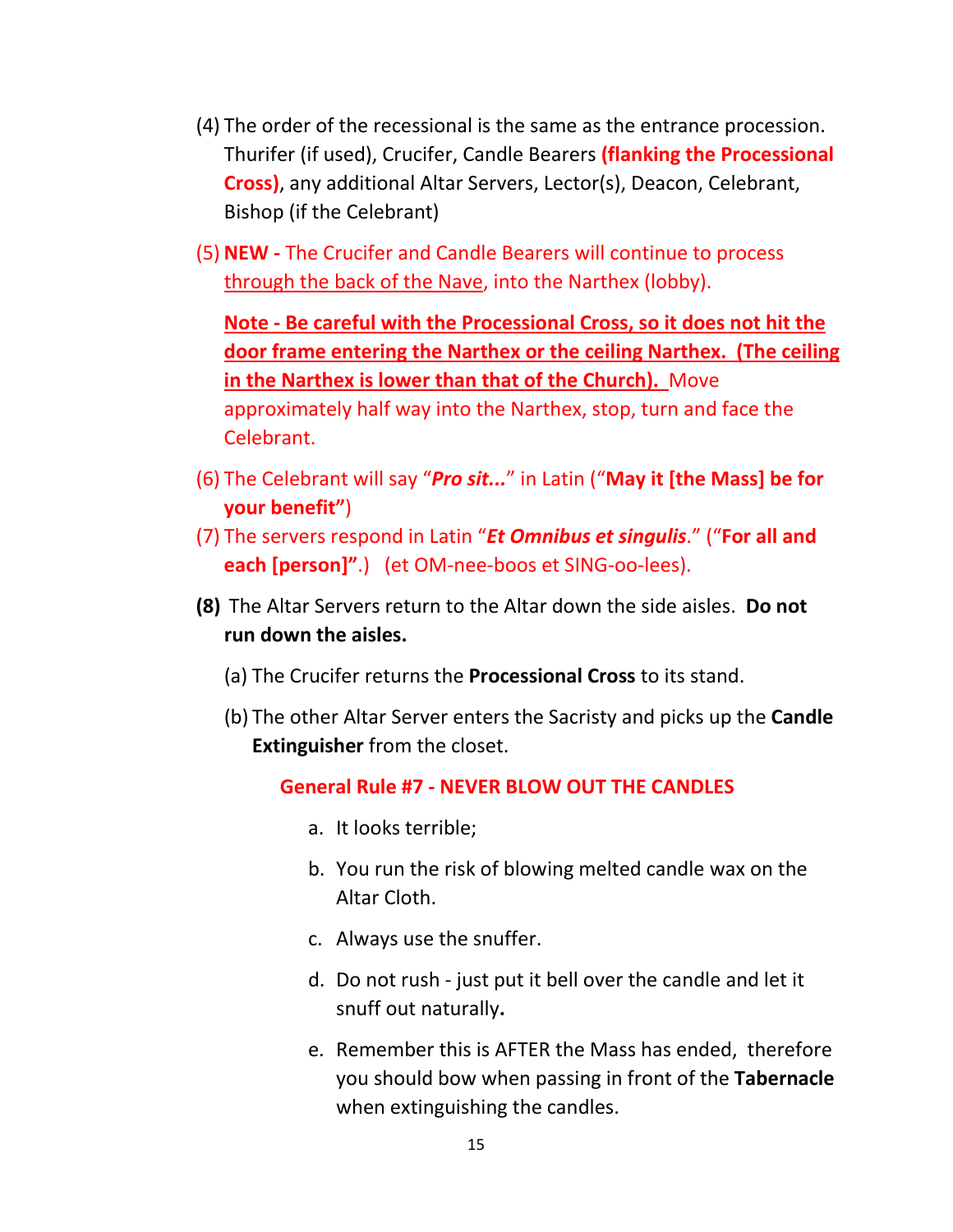- (4) The order of the recessional is the same as the entrance procession. Thurifer (if used), Crucifer, Candle Bearers **(flanking the Processional Cross)**, any additional Altar Servers, Lector(s), Deacon, Celebrant, Bishop (if the Celebrant)
- (5) **NEW -** The Crucifer and Candle Bearers will continue to process through the back of the Nave, into the Narthex (lobby).

**Note - Be careful with the Processional Cross, so it does not hit the door frame entering the Narthex or the ceiling Narthex. (The ceiling in the Narthex is lower than that of the Church).** Move approximately half way into the Narthex, stop, turn and face the Celebrant.

- (6) The Celebrant will say "*Pro sit...*" in Latin ("**May it [the Mass] be for your benefit"**)
- (7) The servers respond in Latin "*Et Omnibus et singulis*." ("**For all and each [person]"**.) (et OM-nee-boos et SING-oo-lees).
- **(8)** The Altar Servers return to the Altar down the side aisles. **Do not run down the aisles.**
	- (a) The Crucifer returns the **Processional Cross** to its stand.
	- (b) The other Altar Server enters the Sacristy and picks up the **Candle Extinguisher** from the closet.

#### **General Rule #7 - NEVER BLOW OUT THE CANDLES**

- a. It looks terrible;
- b. You run the risk of blowing melted candle wax on the Altar Cloth.
- c. Always use the snuffer.
- d. Do not rush just put it bell over the candle and let it snuff out naturally**.**
- e. Remember this is AFTER the Mass has ended, therefore you should bow when passing in front of the **Tabernacle** when extinguishing the candles.